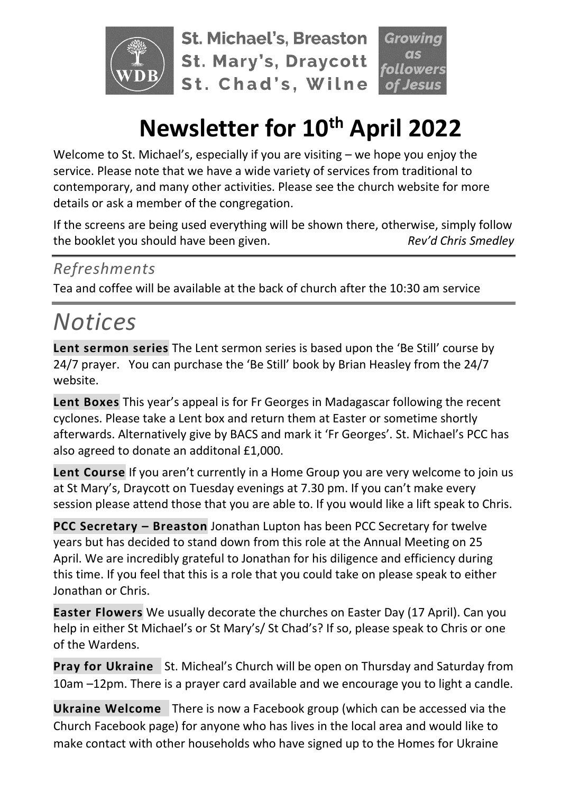

**St. Michael's, Breaston St. Mary's, Draycott** St. Chad's, Wilne

# **Newsletter for 10th April 2022**

Welcome to St. Michael's, especially if you are visiting – we hope you enjoy the service. Please note that we have a wide variety of services from traditional to contemporary, and many other activities. Please see the church website for more details or ask a member of the congregation.

If the screens are being used everything will be shown there, otherwise, simply follow the booklet you should have been given. *Rev'd Chris Smedley*

#### *Refreshments*

Tea and coffee will be available at the back of church after the 10:30 am service

## *Notices*

**Lent sermon series** The Lent sermon series is based upon the 'Be Still' course by 24/7 prayer. You can purchase the 'Be Still' book by Brian Heasley from the 24/7 website.

**Lent Boxes** This year's appeal is for Fr Georges in Madagascar following the recent cyclones. Please take a Lent box and return them at Easter or sometime shortly afterwards. Alternatively give by BACS and mark it 'Fr Georges'. St. Michael's PCC has also agreed to donate an additonal £1,000.

**Lent Course** If you aren't currently in a Home Group you are very welcome to join us at St Mary's, Draycott on Tuesday evenings at 7.30 pm. If you can't make every session please attend those that you are able to. If you would like a lift speak to Chris.

**PCC Secretary – Breaston** Jonathan Lupton has been PCC Secretary for twelve years but has decided to stand down from this role at the Annual Meeting on 25 April. We are incredibly grateful to Jonathan for his diligence and efficiency during this time. If you feel that this is a role that you could take on please speak to either Jonathan or Chris.

**Easter Flowers** We usually decorate the churches on Easter Day (17 April). Can you help in either St Michael's or St Mary's/ St Chad's? If so, please speak to Chris or one of the Wardens.

**Pray for Ukraine** St. Micheal's Church will be open on Thursday and Saturday from 10am –12pm. There is a prayer card available and we encourage you to light a candle.

**Ukraine Welcome** There is now a Facebook group (which can be accessed via the Church Facebook page) for anyone who has lives in the local area and would like to make contact with other households who have signed up to the Homes for Ukraine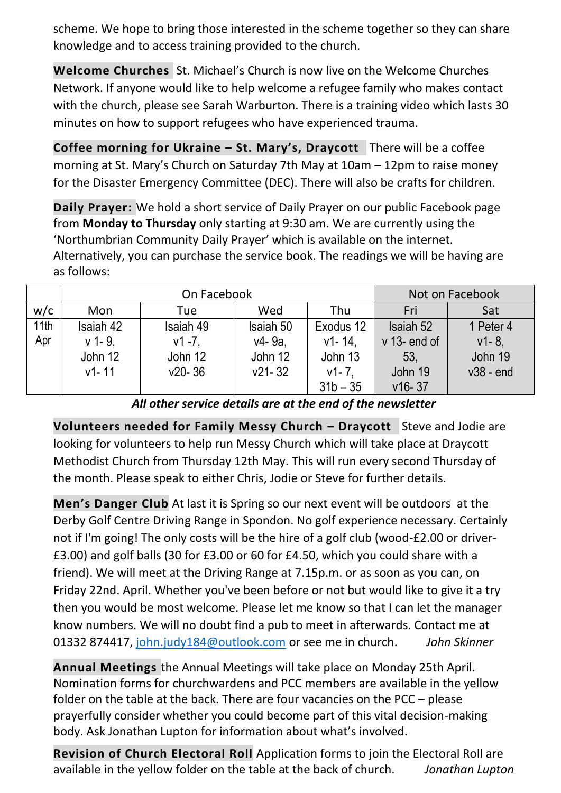scheme. We hope to bring those interested in the scheme together so they can share knowledge and to access training provided to the church.

**Welcome Churches** St. Michael's Church is now live on the Welcome Churches Network. If anyone would like to help welcome a refugee family who makes contact with the church, please see Sarah Warburton. There is a training video which lasts 30 minutes on how to support refugees who have experienced trauma.

**Coffee morning for Ukraine – St. Mary's, Draycott** There will be a coffee morning at St. Mary's Church on Saturday 7th May at 10am – 12pm to raise money for the Disaster Emergency Committee (DEC). There will also be crafts for children.

**Daily Prayer:** We hold a short service of Daily Prayer on our public Facebook page from **Monday to Thursday** only starting at 9:30 am. We are currently using the 'Northumbrian Community Daily Prayer' which is available on the internet. Alternatively, you can purchase the service book. The readings we will be having are as follows:

|      | On Facebook |            |            |             | Not on Facebook |             |
|------|-------------|------------|------------|-------------|-----------------|-------------|
| w/c  | Mon         | Tue        | Wed        | Thu         | Fri             | Sat         |
| 11th | Isaiah 42   | Isaiah 49  | Isaiah 50  | Exodus 12   | Isaiah 52       | 1 Peter 4   |
| Apr  | $v$ 1-9.    | $v1 - 7$ . | v4-9a.     | $v1 - 14$ . | $v$ 13- end of  | $v1 - 8$ ,  |
|      | John 12     | John 12    | John 12    | John 13     | 53,             | John 19     |
|      | $v1 - 11$   | $v20 - 36$ | $v21 - 32$ | $v1 - 7$ .  | John 19         | $v38 - end$ |
|      |             |            |            | $31b - 35$  | $v16 - 37$      |             |

*All other service details are at the end of the newsletter*

**Volunteers needed for Family Messy Church – Draycott** Steve and Jodie are looking for volunteers to help run Messy Church which will take place at Draycott Methodist Church from Thursday 12th May. This will run every second Thursday of the month. Please speak to either Chris, Jodie or Steve for further details.

**Men's Danger Club** At last it is Spring so our next event will be outdoors at the Derby Golf Centre Driving Range in Spondon. No golf experience necessary. Certainly not if I'm going! The only costs will be the hire of a golf club (wood-£2.00 or driver- £3.00) and golf balls (30 for £3.00 or 60 for £4.50, which you could share with a friend). We will meet at the Driving Range at 7.15p.m. or as soon as you can, on Friday 22nd. April. Whether you've been before or not but would like to give it a try then you would be most welcome. Please let me know so that I can let the manager know numbers. We will no doubt find a pub to meet in afterwards. Contact me at 01332 874417, [john.judy184@outlook.com](mailto:john.judy184@outlook.com) or see me in church. *John Skinner*

**Annual Meetings** the Annual Meetings will take place on Monday 25th April. Nomination forms for churchwardens and PCC members are available in the yellow folder on the table at the back. There are four vacancies on the PCC – please prayerfully consider whether you could become part of this vital decision-making body. Ask Jonathan Lupton for information about what's involved.

**Revision of Church Electoral Roll** Application forms to join the Electoral Roll are available in the yellow folder on the table at the back of church. *Jonathan Lupton*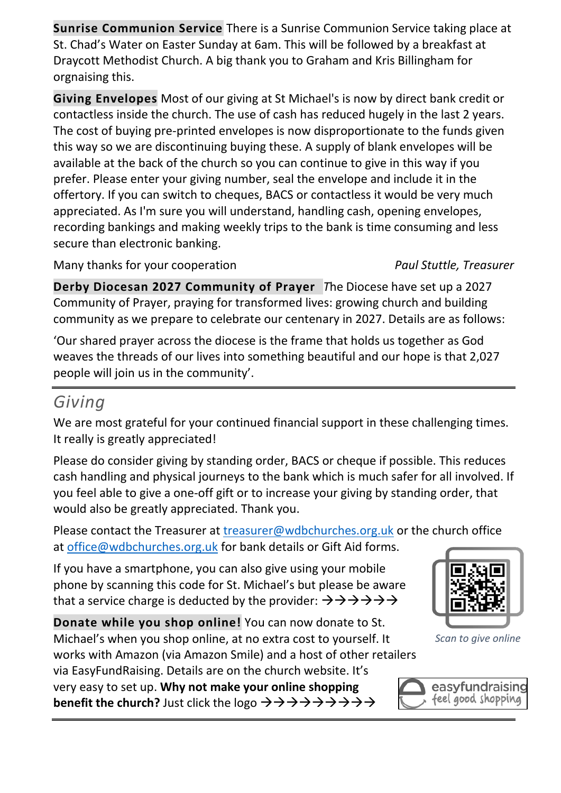**Sunrise Communion Service** There is a Sunrise Communion Service taking place at St. Chad's Water on Easter Sunday at 6am. This will be followed by a breakfast at Draycott Methodist Church. A big thank you to Graham and Kris Billingham for orgnaising this.

**Giving Envelopes** Most of our giving at St Michael's is now by direct bank credit or contactless inside the church. The use of cash has reduced hugely in the last 2 years. The cost of buying pre-printed envelopes is now disproportionate to the funds given this way so we are discontinuing buying these. A supply of blank envelopes will be available at the back of the church so you can continue to give in this way if you prefer. Please enter your giving number, seal the envelope and include it in the offertory. If you can switch to cheques, BACS or contactless it would be very much appreciated. As I'm sure you will understand, handling cash, opening envelopes, recording bankings and making weekly trips to the bank is time consuming and less secure than electronic banking.

Many thanks for your cooperation *Paul Stuttle, Treasurer*

**Derby Diocesan 2027 Community of Prayer** *T*he Diocese have set up a 2027 Community of Prayer, praying for transformed lives: growing church and building community as we prepare to celebrate our centenary in 2027. Details are as follows:

'Our shared prayer across the diocese is the frame that holds us together as God weaves the threads of our lives into something beautiful and our hope is that 2,027 people will join us in the community'.

#### *Giving*

We are most grateful for your continued financial support in these challenging times. It really is greatly appreciated!

Please do consider giving by standing order, BACS or cheque if possible. This reduces cash handling and physical journeys to the bank which is much safer for all involved. If you feel able to give a one-off gift or to increase your giving by standing order, that would also be greatly appreciated. Thank you.

Please contact the Treasurer at [treasurer@wdbchurches.org.uk](mailto:treasurer@wdbchurches.org.uk) or the church office at [office@wdbchurches.org.uk](mailto:office@wdbchurches.org.uk) for bank details or Gift Aid forms.

If you have a smartphone, you can also give using your mobile phone by scanning this code for St. Michael's but please be aware that a service charge is deducted by the provider:  $\rightarrow \rightarrow \rightarrow \rightarrow \rightarrow \rightarrow$ 

**Donate while you shop online!** You can now donate to St. Michael's when you shop online, at no extra cost to yourself. It works with Amazon (via Amazon Smile) and a host of other retailers

via EasyFundRaising. Details are on the [church website](http://www.stmichaelsbreaston.org.uk/index.php/113-news/236-giving-online). It's very easy to set up. **Why not make your online shopping benefit the church?** Just click the logo →→→→→→→→→



*Scan to give online*